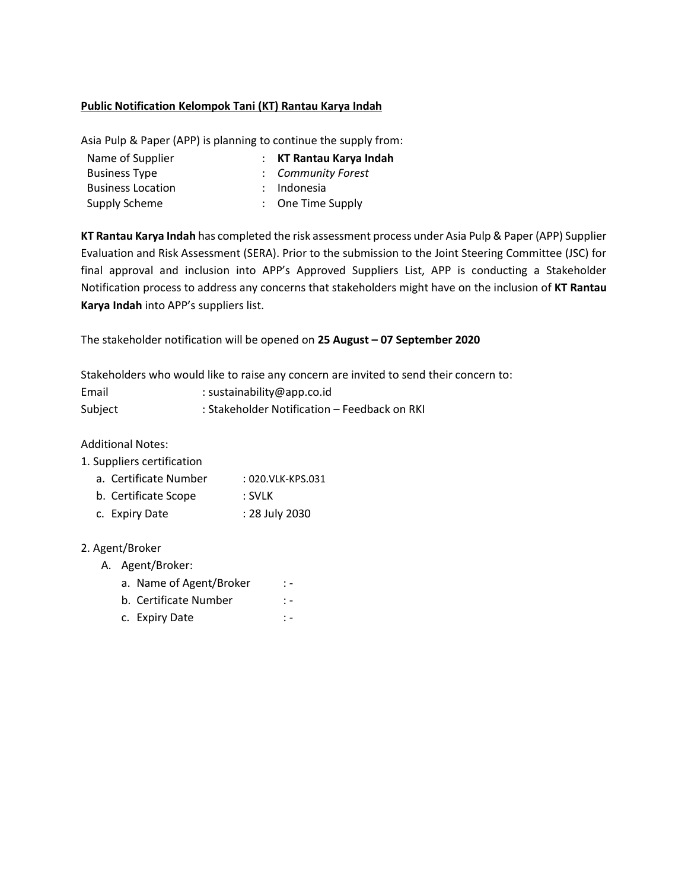## **Public Notification Kelompok Tani (KT) Rantau Karya Indah**

Asia Pulp & Paper (APP) is planning to continue the supply from:

| Name of Supplier         | : KT Rantau Karya Indah      |
|--------------------------|------------------------------|
| <b>Business Type</b>     | : Community Forest           |
| <b>Business Location</b> | : Indonesia                  |
| Supply Scheme            | $\therefore$ One Time Supply |
|                          |                              |

**KT Rantau Karya Indah** has completed the risk assessment process under Asia Pulp & Paper (APP) Supplier Evaluation and Risk Assessment (SERA). Prior to the submission to the Joint Steering Committee (JSC) for final approval and inclusion into APP's Approved Suppliers List, APP is conducting a Stakeholder Notification process to address any concerns that stakeholders might have on the inclusion of **KT Rantau Karya Indah** into APP's suppliers list.

The stakeholder notification will be opened on **25 August – 07 September 2020**

Stakeholders who would like to raise any concern are invited to send their concern to:

| Email   | : sustainability@app.co.id                   |
|---------|----------------------------------------------|
| Subject | : Stakeholder Notification - Feedback on RKI |

Additional Notes:

1. Suppliers certification

- a. Certificate Number : 020.VLK-KPS.031
- b. Certificate Scope : SVLK
- c. Expiry Date : 28 July 2030

## 2. Agent/Broker

- A. Agent/Broker:
	- a. Name of Agent/Broker : -
	- b. Certificate Number : -
	- c. Expiry Date : -